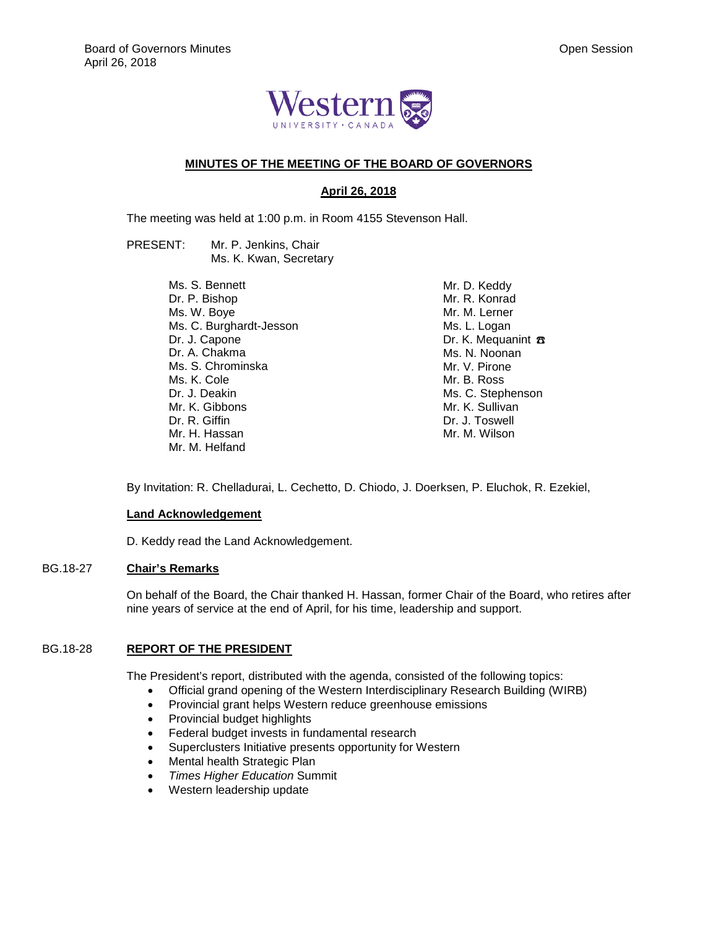

# **MINUTES OF THE MEETING OF THE BOARD OF GOVERNORS**

# **April 26, 2018**

The meeting was held at 1:00 p.m. in Room 4155 Stevenson Hall.

PRESENT: Mr. P. Jenkins, Chair Ms. K. Kwan, Secretary

> Ms. S. Bennett Dr. P. Bishop Ms. W. Boye Ms. C. Burghardt-Jesson Dr. J. Capone Dr. A. Chakma Ms. S. Chrominska Ms. K. Cole Dr. J. Deakin Mr. K. Gibbons Dr. R. Giffin Mr. H. Hassan Mr. M. Helfand

Mr. D. Keddy Mr. R. Konrad Mr. M. Lerner Ms. L. Logan Dr. K. Mequanint  $\pi$ Ms. N. Noonan Mr. V. Pirone Mr. B. Ross Ms. C. Stephenson Mr. K. Sullivan Dr. J. Toswell Mr. M. Wilson

By Invitation: R. Chelladurai, L. Cechetto, D. Chiodo, J. Doerksen, P. Eluchok, R. Ezekiel,

#### **Land Acknowledgement**

D. Keddy read the Land Acknowledgement.

# BG.18-27 **Chair's Remarks**

On behalf of the Board, the Chair thanked H. Hassan, former Chair of the Board, who retires after nine years of service at the end of April, for his time, leadership and support.

# BG.18-28 **REPORT OF THE PRESIDENT**

The President's report, distributed with the agenda, consisted of the following topics:

- Official grand opening of the Western Interdisciplinary Research Building (WIRB)
- Provincial grant helps Western reduce greenhouse emissions
- Provincial budget highlights
- Federal budget invests in fundamental research
- Superclusters Initiative presents opportunity for Western
- Mental health Strategic Plan
- *Times Higher Education* Summit
- Western leadership update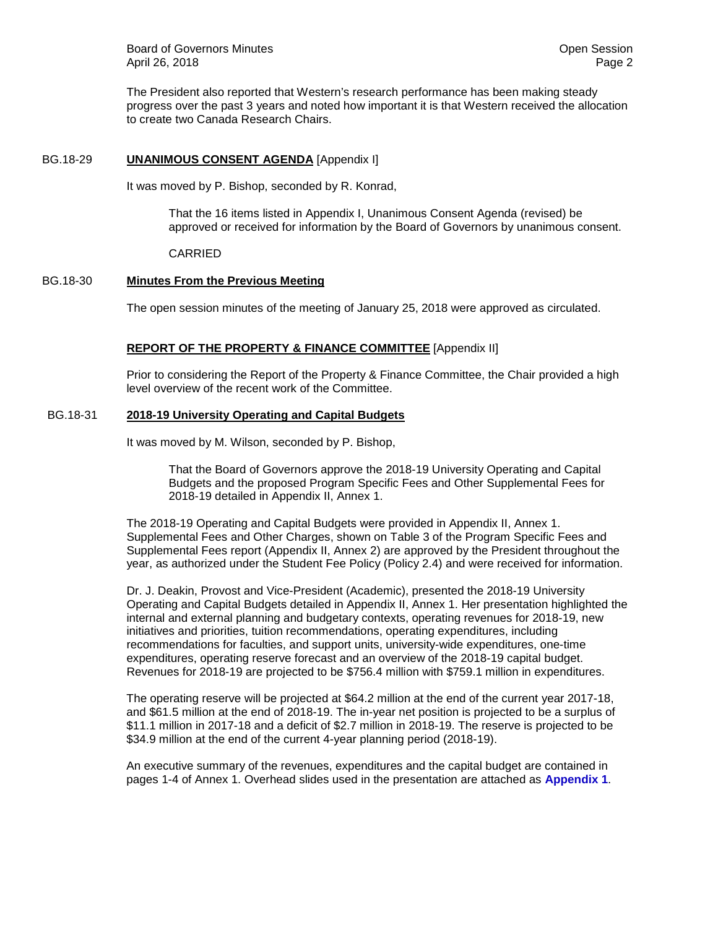Board of Governors Minutes **Community** Community Community Community Community Community Community Community Community Community Community Community Community Community Community Community Community Community Community Com April 26, 2018 **Page 2** 

The President also reported that Western's research performance has been making steady progress over the past 3 years and noted how important it is that Western received the allocation to create two Canada Research Chairs.

# BG.18-29 **UNANIMOUS CONSENT AGENDA** [Appendix I]

It was moved by P. Bishop, seconded by R. Konrad,

That the 16 items listed in Appendix I, Unanimous Consent Agenda (revised) be approved or received for information by the Board of Governors by unanimous consent.

CARRIED

## BG.18-30 **Minutes From the Previous Meeting**

The open session minutes of the meeting of January 25, 2018 were approved as circulated.

# **REPORT OF THE PROPERTY & FINANCE COMMITTEE** [Appendix II]

Prior to considering the Report of the Property & Finance Committee, the Chair provided a high level overview of the recent work of the Committee.

## BG.18-31 **2018-19 University Operating and Capital Budgets**

It was moved by M. Wilson, seconded by P. Bishop,

That the Board of Governors approve the 2018-19 University Operating and Capital Budgets and the proposed Program Specific Fees and Other Supplemental Fees for 2018-19 detailed in Appendix II, Annex 1.

The 2018-19 Operating and Capital Budgets were provided in Appendix II, Annex 1. Supplemental Fees and Other Charges, shown on Table 3 of the Program Specific Fees and Supplemental Fees report (Appendix II, Annex 2) are approved by the President throughout the year, as authorized under the Student Fee Policy (Policy 2.4) and were received for information.

Dr. J. Deakin, Provost and Vice-President (Academic), presented the 2018-19 University Operating and Capital Budgets detailed in Appendix II, Annex 1. Her presentation highlighted the internal and external planning and budgetary contexts, operating revenues for 2018-19, new initiatives and priorities, tuition recommendations, operating expenditures, including recommendations for faculties, and support units, university-wide expenditures, one-time expenditures, operating reserve forecast and an overview of the 2018-19 capital budget. Revenues for 2018-19 are projected to be \$756.4 million with \$759.1 million in expenditures.

The operating reserve will be projected at \$64.2 million at the end of the current year 2017-18, and \$61.5 million at the end of 2018-19. The in-year net position is projected to be a surplus of \$11.1 million in 2017-18 and a deficit of \$2.7 million in 2018-19. The reserve is projected to be \$34.9 million at the end of the current 4-year planning period (2018-19).

An executive summary of the revenues, expenditures and the capital budget are contained in pages 1-4 of Annex 1. Overhead slides used in the presentation are attached as **Appendix 1**.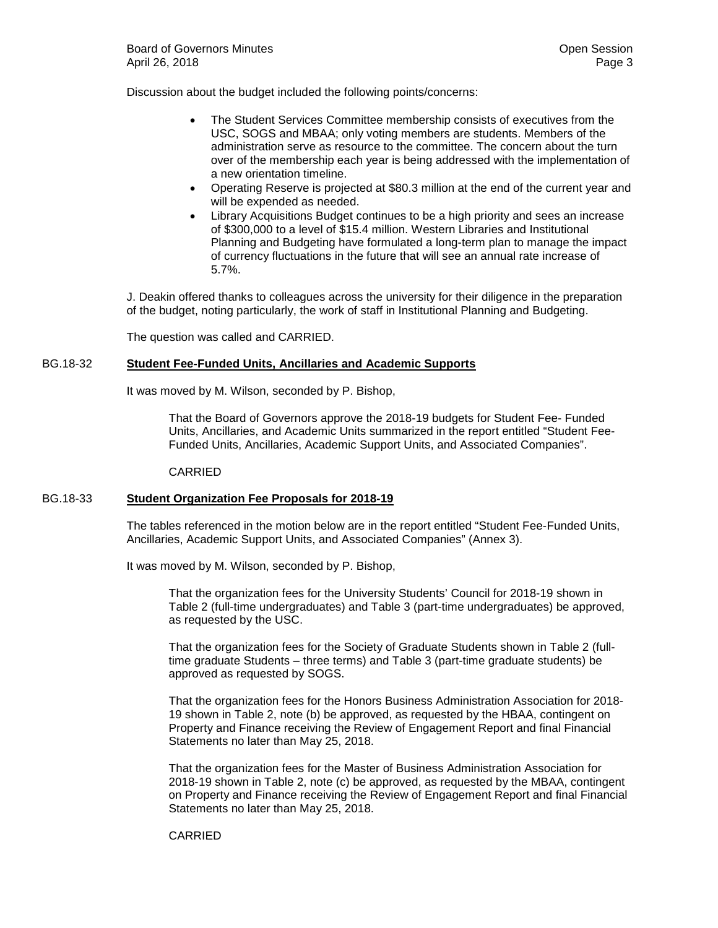Discussion about the budget included the following points/concerns:

- The Student Services Committee membership consists of executives from the USC, SOGS and MBAA; only voting members are students. Members of the administration serve as resource to the committee. The concern about the turn over of the membership each year is being addressed with the implementation of a new orientation timeline.
- Operating Reserve is projected at \$80.3 million at the end of the current year and will be expended as needed.
- Library Acquisitions Budget continues to be a high priority and sees an increase of \$300,000 to a level of \$15.4 million. Western Libraries and Institutional Planning and Budgeting have formulated a long-term plan to manage the impact of currency fluctuations in the future that will see an annual rate increase of 5.7%.

J. Deakin offered thanks to colleagues across the university for their diligence in the preparation of the budget, noting particularly, the work of staff in Institutional Planning and Budgeting.

The question was called and CARRIED.

## BG.18-32 **Student Fee-Funded Units, Ancillaries and Academic Supports**

It was moved by M. Wilson, seconded by P. Bishop,

That the Board of Governors approve the 2018-19 budgets for Student Fee- Funded Units, Ancillaries, and Academic Units summarized in the report entitled "Student Fee-Funded Units, Ancillaries, Academic Support Units, and Associated Companies".

CARRIED

#### BG.18-33 **Student Organization Fee Proposals for 2018-19**

The tables referenced in the motion below are in the report entitled "Student Fee-Funded Units, Ancillaries, Academic Support Units, and Associated Companies" (Annex 3).

It was moved by M. Wilson, seconded by P. Bishop,

That the organization fees for the University Students' Council for 2018-19 shown in Table 2 (full-time undergraduates) and Table 3 (part-time undergraduates) be approved, as requested by the USC.

That the organization fees for the Society of Graduate Students shown in Table 2 (fulltime graduate Students – three terms) and Table 3 (part-time graduate students) be approved as requested by SOGS.

That the organization fees for the Honors Business Administration Association for 2018- 19 shown in Table 2, note (b) be approved, as requested by the HBAA, contingent on Property and Finance receiving the Review of Engagement Report and final Financial Statements no later than May 25, 2018.

That the organization fees for the Master of Business Administration Association for 2018-19 shown in Table 2, note (c) be approved, as requested by the MBAA, contingent on Property and Finance receiving the Review of Engagement Report and final Financial Statements no later than May 25, 2018.

#### CARRIED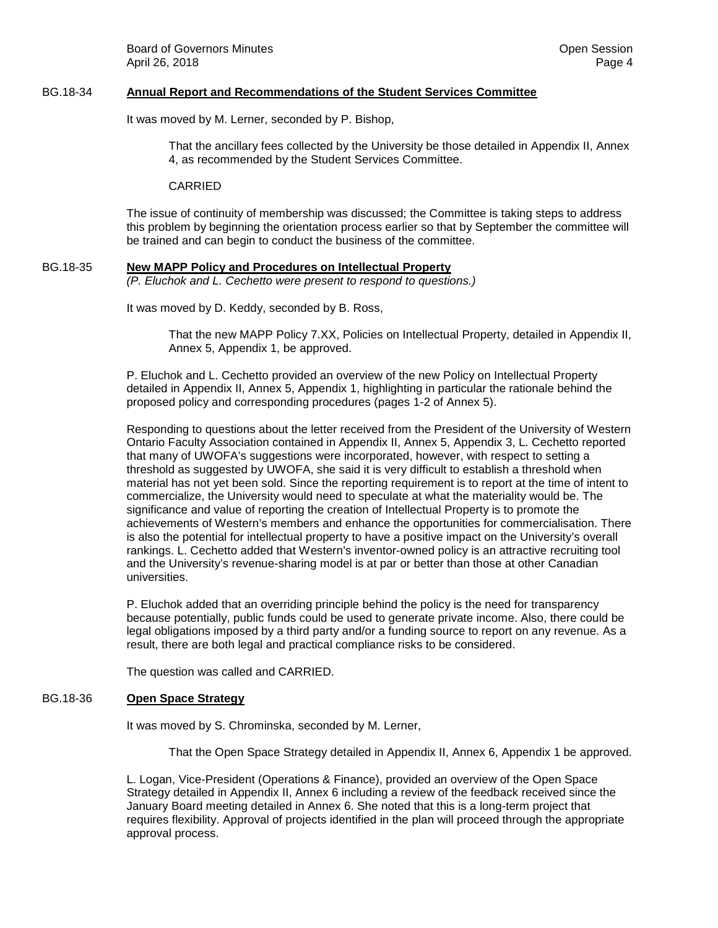## BG.18-34 **Annual Report and Recommendations of the Student Services Committee**

It was moved by M. Lerner, seconded by P. Bishop,

That the ancillary fees collected by the University be those detailed in Appendix II, Annex 4, as recommended by the Student Services Committee.

CARRIED

The issue of continuity of membership was discussed; the Committee is taking steps to address this problem by beginning the orientation process earlier so that by September the committee will be trained and can begin to conduct the business of the committee.

#### BG.18-35 **New MAPP Policy and Procedures on Intellectual Property** *(P. Eluchok and L. Cechetto were present to respond to questions.)*

It was moved by D. Keddy, seconded by B. Ross,

That the new MAPP Policy 7.XX, Policies on Intellectual Property, detailed in Appendix II, Annex 5, Appendix 1, be approved.

P. Eluchok and L. Cechetto provided an overview of the new Policy on Intellectual Property detailed in Appendix II, Annex 5, Appendix 1, highlighting in particular the rationale behind the proposed policy and corresponding procedures (pages 1-2 of Annex 5).

Responding to questions about the letter received from the President of the University of Western Ontario Faculty Association contained in Appendix II, Annex 5, Appendix 3, L. Cechetto reported that many of UWOFA's suggestions were incorporated, however, with respect to setting a threshold as suggested by UWOFA, she said it is very difficult to establish a threshold when material has not yet been sold. Since the reporting requirement is to report at the time of intent to commercialize, the University would need to speculate at what the materiality would be. The significance and value of reporting the creation of Intellectual Property is to promote the achievements of Western's members and enhance the opportunities for commercialisation. There is also the potential for intellectual property to have a positive impact on the University's overall rankings. L. Cechetto added that Western's inventor-owned policy is an attractive recruiting tool and the University's revenue-sharing model is at par or better than those at other Canadian universities.

P. Eluchok added that an overriding principle behind the policy is the need for transparency because potentially, public funds could be used to generate private income. Also, there could be legal obligations imposed by a third party and/or a funding source to report on any revenue. As a result, there are both legal and practical compliance risks to be considered.

The question was called and CARRIED.

# BG.18-36 **Open Space Strategy**

It was moved by S. Chrominska, seconded by M. Lerner,

That the Open Space Strategy detailed in Appendix II, Annex 6, Appendix 1 be approved.

L. Logan, Vice-President (Operations & Finance), provided an overview of the Open Space Strategy detailed in Appendix II, Annex 6 including a review of the feedback received since the January Board meeting detailed in Annex 6. She noted that this is a long-term project that requires flexibility. Approval of projects identified in the plan will proceed through the appropriate approval process.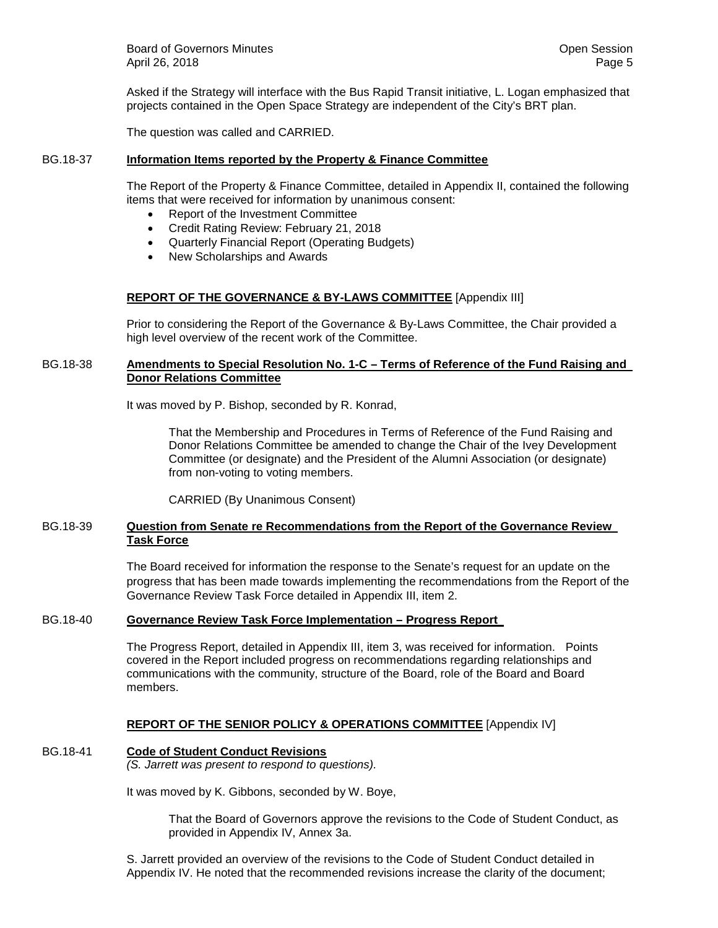Board of Governors Minutes **Community** Community Community Community Community Community Community Community Community Community Community Community Community Community Community Community Community Community Community Com April 26, 2018 **Page 5** 

Asked if the Strategy will interface with the Bus Rapid Transit initiative, L. Logan emphasized that projects contained in the Open Space Strategy are independent of the City's BRT plan.

The question was called and CARRIED.

## BG.18-37 **Information Items reported by the Property & Finance Committee**

The Report of the Property & Finance Committee, detailed in Appendix II, contained the following items that were received for information by unanimous consent:

- Report of the Investment Committee
- Credit Rating Review: February 21, 2018
- Quarterly Financial Report (Operating Budgets)
- New Scholarships and Awards

## **REPORT OF THE GOVERNANCE & BY-LAWS COMMITTEE** [Appendix III]

Prior to considering the Report of the Governance & By-Laws Committee, the Chair provided a high level overview of the recent work of the Committee.

## BG.18-38 **Amendments to Special Resolution No. 1-C – Terms of Reference of the Fund Raising and Donor Relations Committee**

It was moved by P. Bishop, seconded by R. Konrad,

That the Membership and Procedures in Terms of Reference of the Fund Raising and Donor Relations Committee be amended to change the Chair of the Ivey Development Committee (or designate) and the President of the Alumni Association (or designate) from non-voting to voting members.

CARRIED (By Unanimous Consent)

## BG.18-39 **Question from Senate re Recommendations from the Report of the Governance Review Task Force**

The Board received for information the response to the Senate's request for an update on the progress that has been made towards implementing the recommendations from the Report of the Governance Review Task Force detailed in Appendix III, item 2.

## BG.18-40 **Governance Review Task Force Implementation – Progress Report**

The Progress Report, detailed in Appendix III, item 3, was received for information. Points covered in the Report included progress on recommendations regarding relationships and communications with the community, structure of the Board, role of the Board and Board members.

## **REPORT OF THE SENIOR POLICY & OPERATIONS COMMITTEE** [Appendix IV]

## BG.18-41 **Code of Student Conduct Revisions**

*(S. Jarrett was present to respond to questions).*

It was moved by K. Gibbons, seconded by W. Boye,

That the Board of Governors approve the revisions to the Code of Student Conduct, as provided in Appendix IV, Annex 3a.

S. Jarrett provided an overview of the revisions to the Code of Student Conduct detailed in Appendix IV. He noted that the recommended revisions increase the clarity of the document;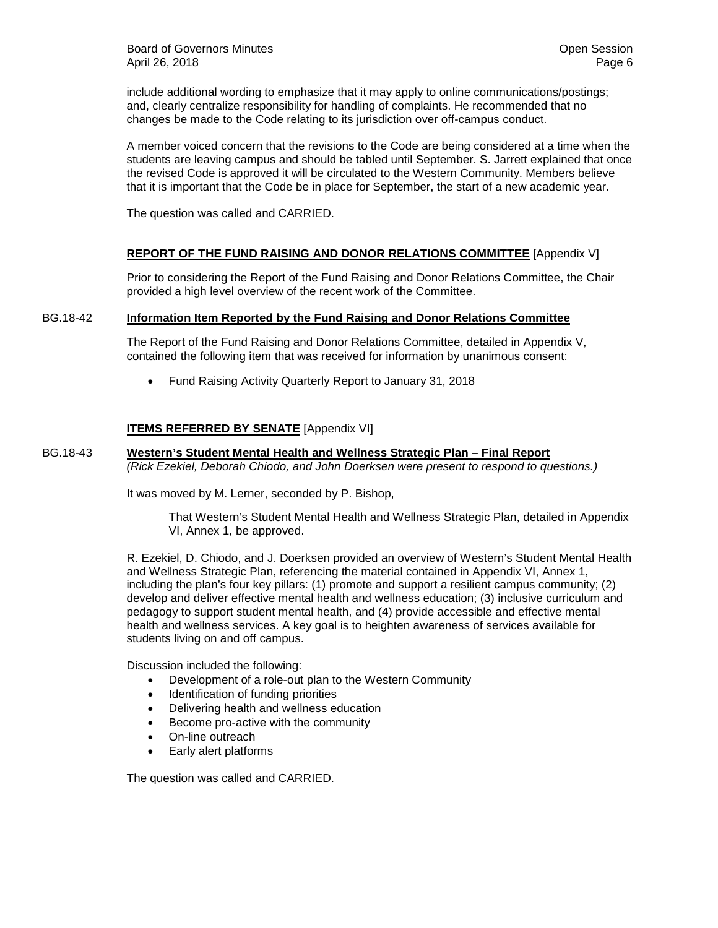Board of Governors Minutes **Community** Community Community Community Community Community Community Community Community Community Community Community Community Community Community Community Community Community Community Com April 26, 2018 Page 6

include additional wording to emphasize that it may apply to online communications/postings; and, clearly centralize responsibility for handling of complaints. He recommended that no changes be made to the Code relating to its jurisdiction over off-campus conduct.

A member voiced concern that the revisions to the Code are being considered at a time when the students are leaving campus and should be tabled until September. S. Jarrett explained that once the revised Code is approved it will be circulated to the Western Community. Members believe that it is important that the Code be in place for September, the start of a new academic year.

The question was called and CARRIED.

## **REPORT OF THE FUND RAISING AND DONOR RELATIONS COMMITTEE** [Appendix V]

Prior to considering the Report of the Fund Raising and Donor Relations Committee, the Chair provided a high level overview of the recent work of the Committee.

## BG.18-42 **Information Item Reported by the Fund Raising and Donor Relations Committee**

The Report of the Fund Raising and Donor Relations Committee, detailed in Appendix V, contained the following item that was received for information by unanimous consent:

• Fund Raising Activity Quarterly Report to January 31, 2018

# **ITEMS REFERRED BY SENATE** [Appendix VI]

#### BG.18-43 **Western's Student Mental Health and Wellness Strategic Plan – Final Report** *(Rick Ezekiel, Deborah Chiodo, and John Doerksen were present to respond to questions.)*

It was moved by M. Lerner, seconded by P. Bishop,

That Western's Student Mental Health and Wellness Strategic Plan, detailed in Appendix VI, Annex 1, be approved.

R. Ezekiel, D. Chiodo, and J. Doerksen provided an overview of Western's Student Mental Health and Wellness Strategic Plan, referencing the material contained in Appendix VI, Annex 1, including the plan's four key pillars: (1) promote and support a resilient campus community; (2) develop and deliver effective mental health and wellness education; (3) inclusive curriculum and pedagogy to support student mental health, and (4) provide accessible and effective mental health and wellness services. A key goal is to heighten awareness of services available for students living on and off campus.

Discussion included the following:

- Development of a role-out plan to the Western Community
- Identification of funding priorities
- Delivering health and wellness education
- Become pro-active with the community
- On-line outreach
- Early alert platforms

The question was called and CARRIED.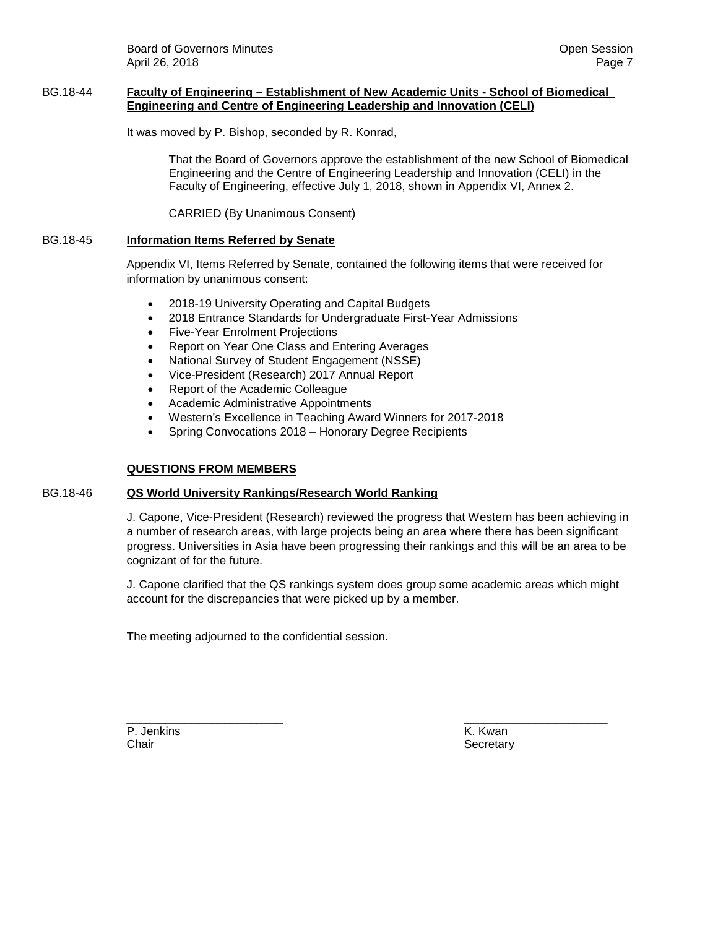Board of Governors Minutes **Community** Community Community Community Community Community Community Community Community Community Community Community Community Community Community Community Community Community Community Com April 26, 2018 Page 7 (1999) 2014 12:30 Page 7 (1999) 2014 12:30 Page 7 (1999) 2014

## BG.18-44 **Faculty of Engineering – Establishment of New Academic Units - School of Biomedical Engineering and Centre of Engineering Leadership and Innovation (CELI)**

It was moved by P. Bishop, seconded by R. Konrad,

That the Board of Governors approve the establishment of the new School of Biomedical Engineering and the Centre of Engineering Leadership and Innovation (CELI) in the Faculty of Engineering, effective July 1, 2018, shown in Appendix VI, Annex 2.

CARRIED (By Unanimous Consent)

## BG.18-45 **Information Items Referred by Senate**

Appendix VI, Items Referred by Senate, contained the following items that were received for information by unanimous consent:

- 2018-19 University Operating and Capital Budgets
- 2018 Entrance Standards for Undergraduate First-Year Admissions
- Five-Year Enrolment Projections
- Report on Year One Class and Entering Averages
- National Survey of Student Engagement (NSSE)
- Vice-President (Research) 2017 Annual Report
- Report of the Academic Colleague
- Academic Administrative Appointments
- Western's Excellence in Teaching Award Winners for 2017-2018
- Spring Convocations 2018 Honorary Degree Recipients

#### **QUESTIONS FROM MEMBERS**

#### BG.18-46 **QS World University Rankings/Research World Ranking**

J. Capone, Vice-President (Research) reviewed the progress that Western has been achieving in a number of research areas, with large projects being an area where there has been significant progress. Universities in Asia have been progressing their rankings and this will be an area to be cognizant of for the future.

J. Capone clarified that the QS rankings system does group some academic areas which might account for the discrepancies that were picked up by a member.

The meeting adjourned to the confidential session.

\_\_\_\_\_\_\_\_\_\_\_\_\_\_\_\_\_\_\_\_\_\_\_\_ \_\_\_\_\_\_\_\_\_\_\_\_\_\_\_\_\_\_\_\_\_\_ P. Jenkins K. Kwan Chair **Chair** Secretary **Chair** Secretary **Chair** Secretary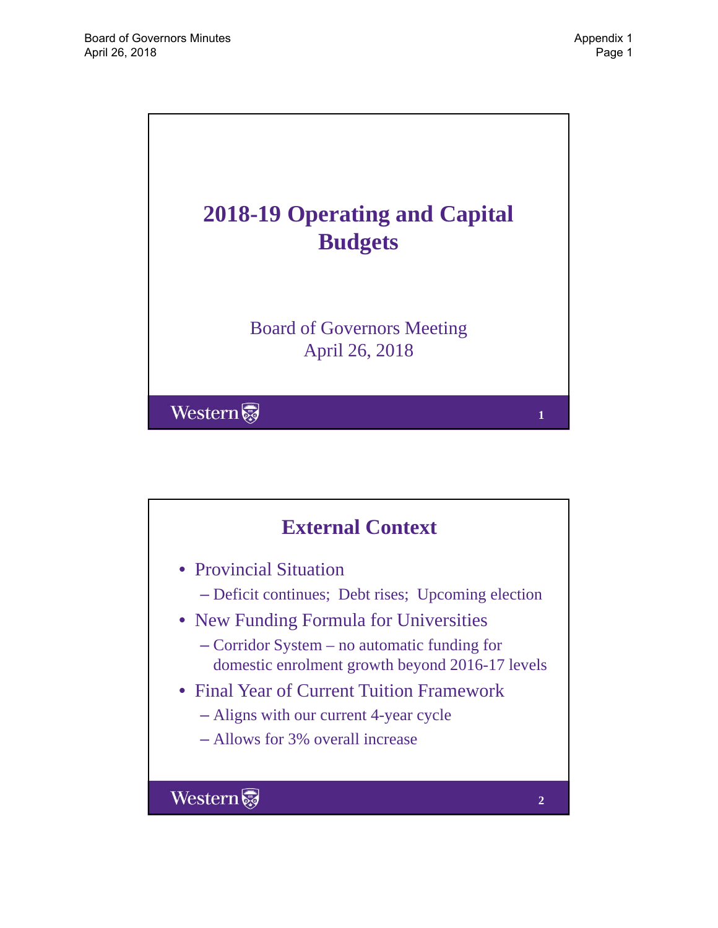

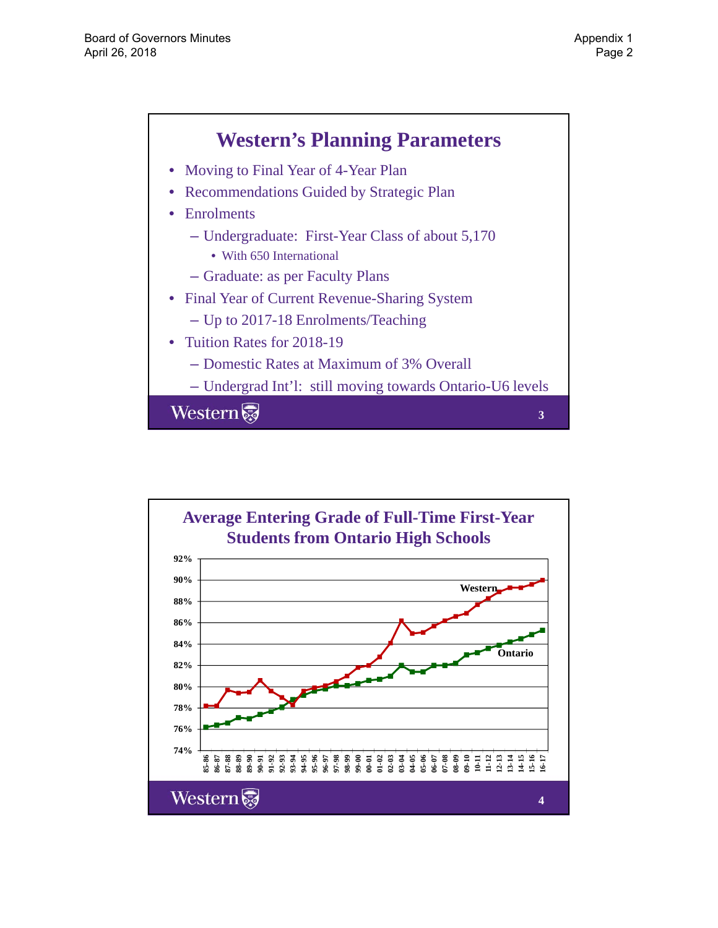

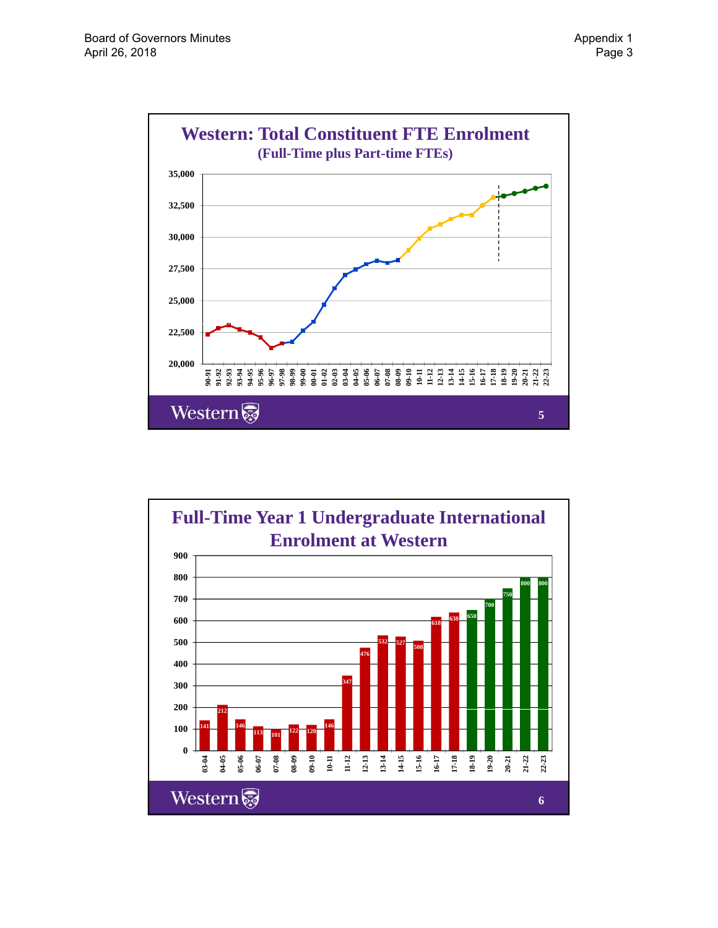

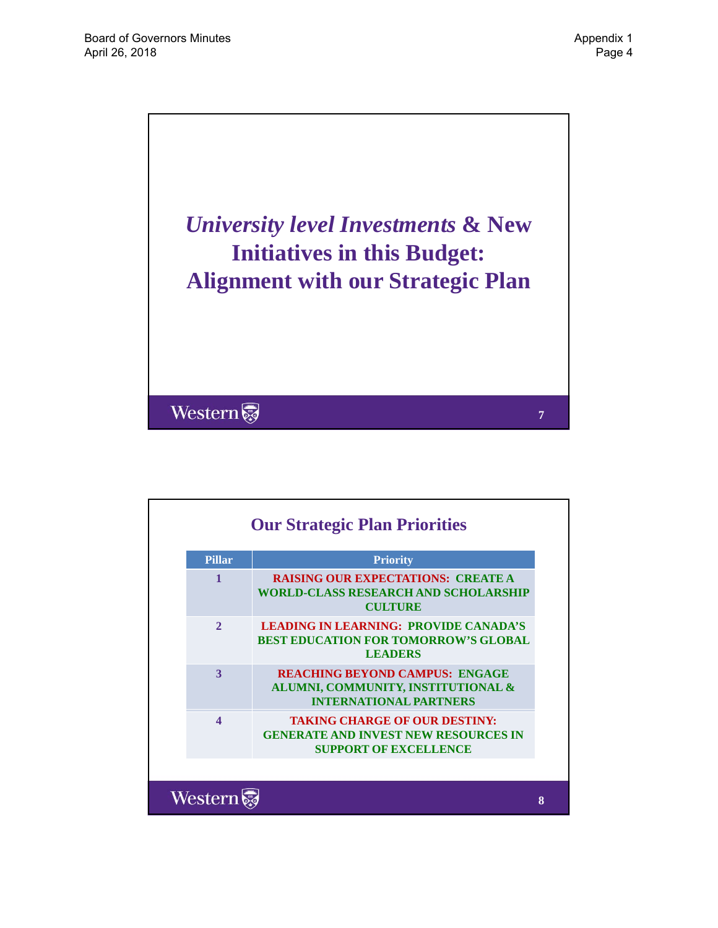

| <b>Pillar</b>    | <b>Priority</b>                                                                                                     |
|------------------|---------------------------------------------------------------------------------------------------------------------|
| 1                | <b>RAISING OUR EXPECTATIONS: CREATE A</b><br><b>WORLD-CLASS RESEARCH AND SCHOLARSHIP</b><br><b>CULTURE</b>          |
| $\mathbf{2}$     | <b>LEADING IN LEARNING: PROVIDE CANADA'S</b><br><b>BEST EDUCATION FOR TOMORROW'S GLOBAL</b><br><b>LEADERS</b>       |
| $\mathbf{3}$     | <b>REACHING BEYOND CAMPUS: ENGAGE</b><br>ALUMNI, COMMUNITY, INSTITUTIONAL &<br><b>INTERNATIONAL PARTNERS</b>        |
| $\blacktriangle$ | <b>TAKING CHARGE OF OUR DESTINY:</b><br><b>GENERATE AND INVEST NEW RESOURCES IN</b><br><b>SUPPORT OF EXCELLENCE</b> |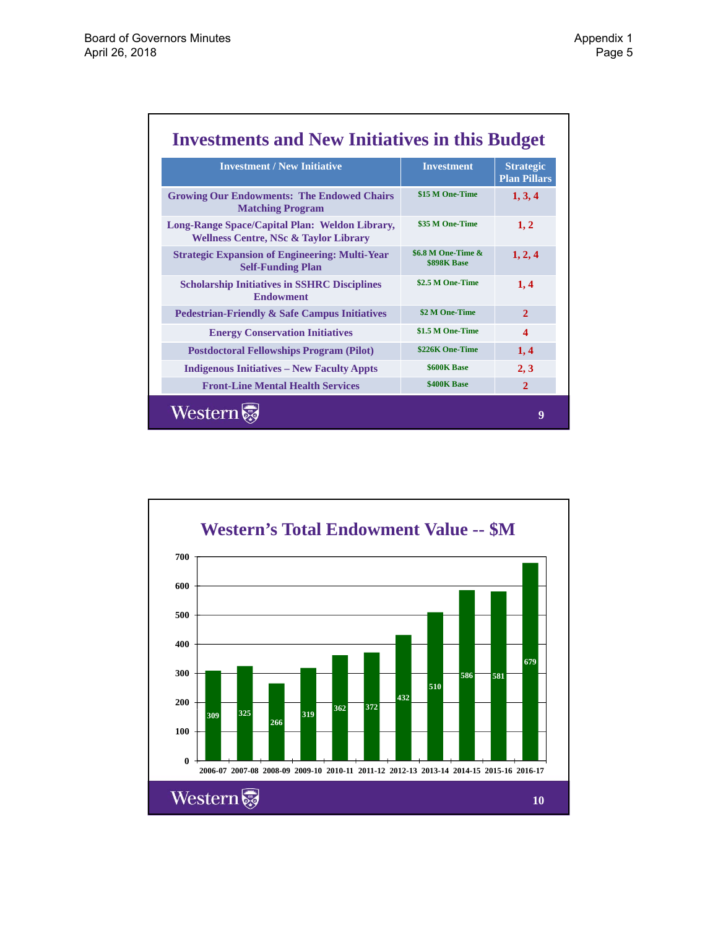| <b>Investment / New Initiative</b>                                                                 | <b>Investment</b>                        | <b>Strategic</b><br><b>Plan Pillars</b> |  |
|----------------------------------------------------------------------------------------------------|------------------------------------------|-----------------------------------------|--|
| <b>Growing Our Endowments: The Endowed Chairs</b><br><b>Matching Program</b>                       | \$15 M One-Time                          | 1, 3, 4                                 |  |
| Long-Range Space/Capital Plan: Weldon Library,<br><b>Wellness Centre, NSc &amp; Taylor Library</b> | \$35 M One-Time                          | 1, 2                                    |  |
| <b>Strategic Expansion of Engineering: Multi-Year</b><br><b>Self-Funding Plan</b>                  | \$6.8 M One-Time &<br><b>\$898K Base</b> | 1, 2, 4                                 |  |
| <b>Scholarship Initiatives in SSHRC Disciplines</b><br><b>Endowment</b>                            | \$2.5 M One-Time                         | 1,4                                     |  |
| <b>Pedestrian-Friendly &amp; Safe Campus Initiatives</b>                                           | \$2 M One-Time                           | $\overline{2}$                          |  |
| <b>Energy Conservation Initiatives</b>                                                             | \$1.5 M One-Time                         | $\boldsymbol{\Delta}$                   |  |
| <b>Postdoctoral Fellowships Program (Pilot)</b>                                                    | \$226K One-Time                          | 1,4                                     |  |
| <b>Indigenous Initiatives - New Faculty Appts</b>                                                  | <b>\$600K Base</b>                       | 2, 3                                    |  |
| <b>Front-Line Mental Health Services</b>                                                           | \$400K Base                              | $\overline{2}$                          |  |

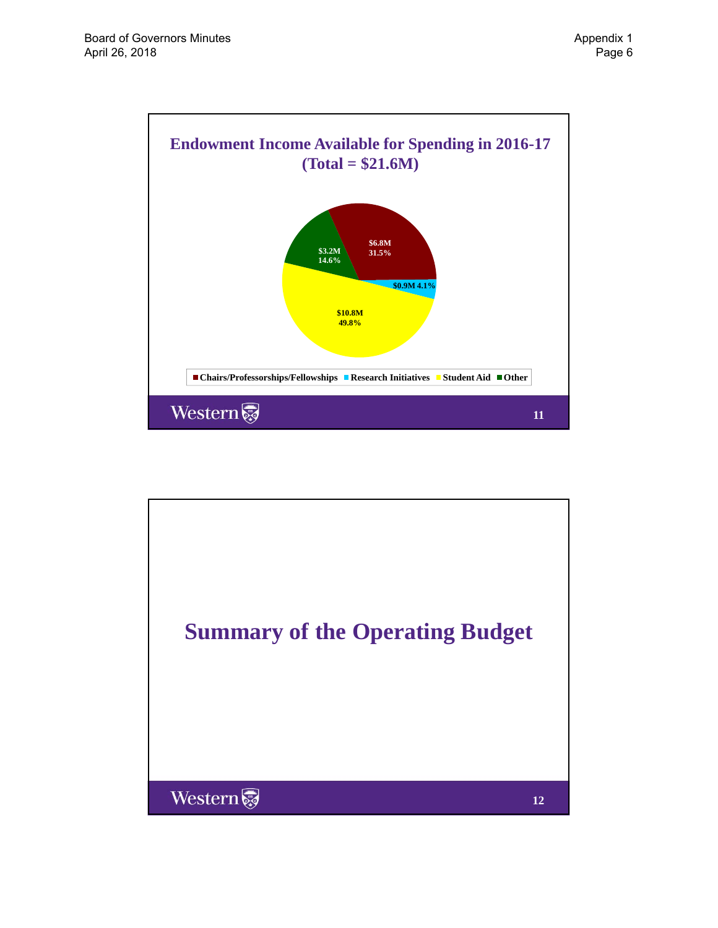

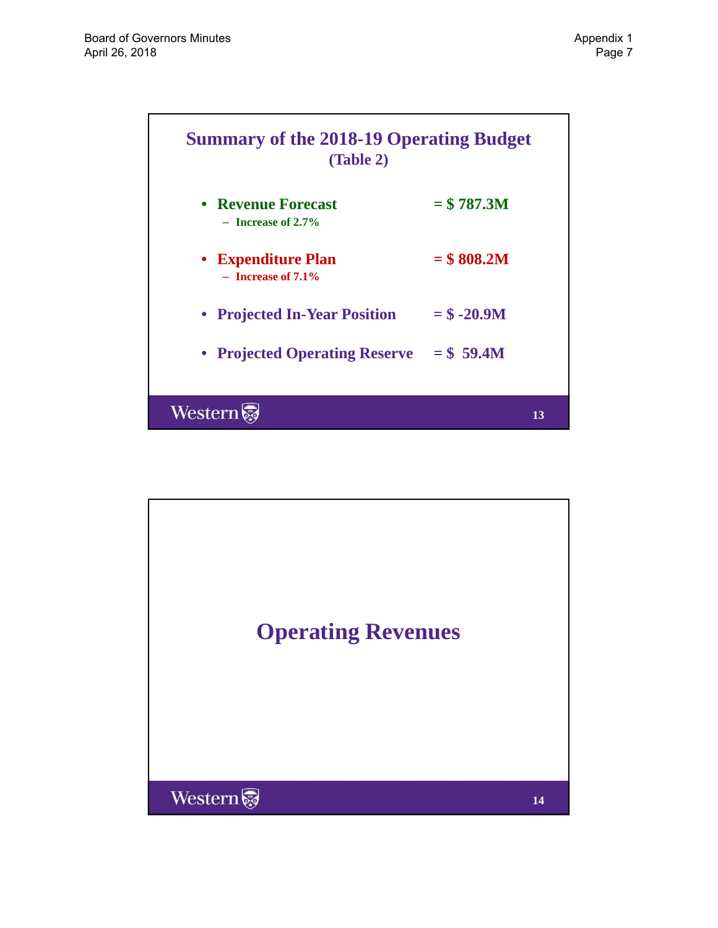

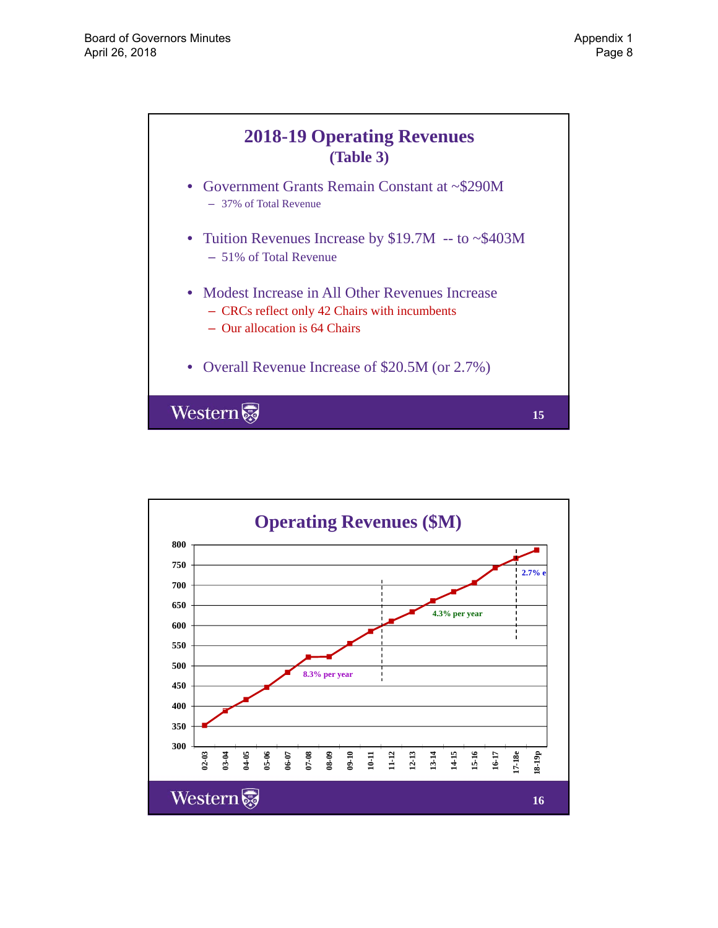

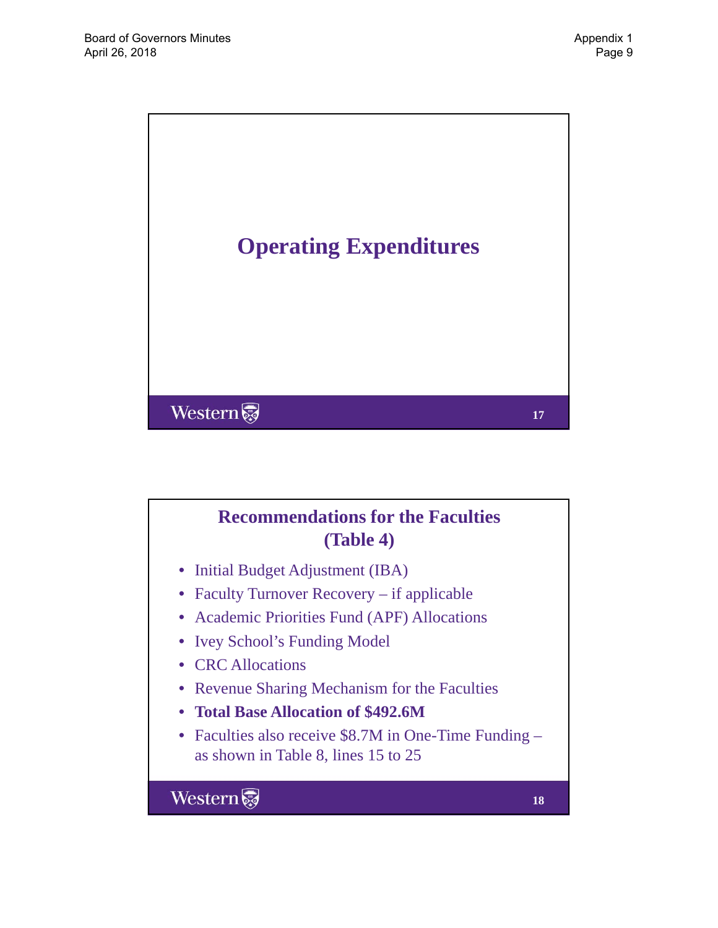

# **Recommendations for the Faculties (Table 4)**

- Initial Budget Adjustment (IBA)
- Faculty Turnover Recovery if applicable
- Academic Priorities Fund (APF) Allocations
- Ivey School's Funding Model
- CRC Allocations
- Revenue Sharing Mechanism for the Faculties
- Total Base Allocation of \$492.6M
- Faculties also receive \$8.7M in One-Time Funding as shown in Table 8, lines 15 to 25

Western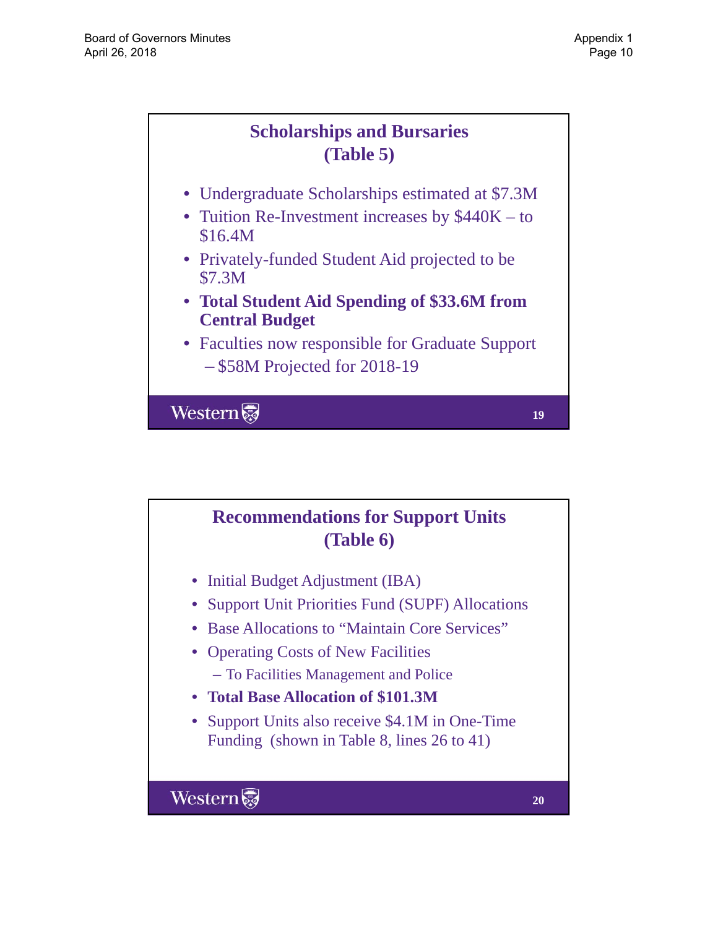# **Scholarships and Bursaries (Table 5)**

- Undergraduate Scholarships estimated at \$7.3M
- Tuition Re-Investment increases by  $$440K to$ \$16.4M
- Privately-funded Student Aid projected to be \$7.3M
- **Total Student Aid Spending of \$33.6M from Central Budget Central**
- Faculties now responsible for Graduate Support – \$58M Projected for 2018-19

Western

**Recommendations for Support Units (Table 6)**

- Initial Budget Adjustment (IBA)
- Support Unit Priorities Fund (SUPF) Allocations
- Base Allocations to "Maintain Core Services"
- Operating Costs of New Facilities
	- To Facilities Management and Police
- **Total Base Allocation of \$101.3M**
- Support Units also receive \$4.1M in One-Time Funding (shown in Table 8, lines 26 to 41)

Western

**19**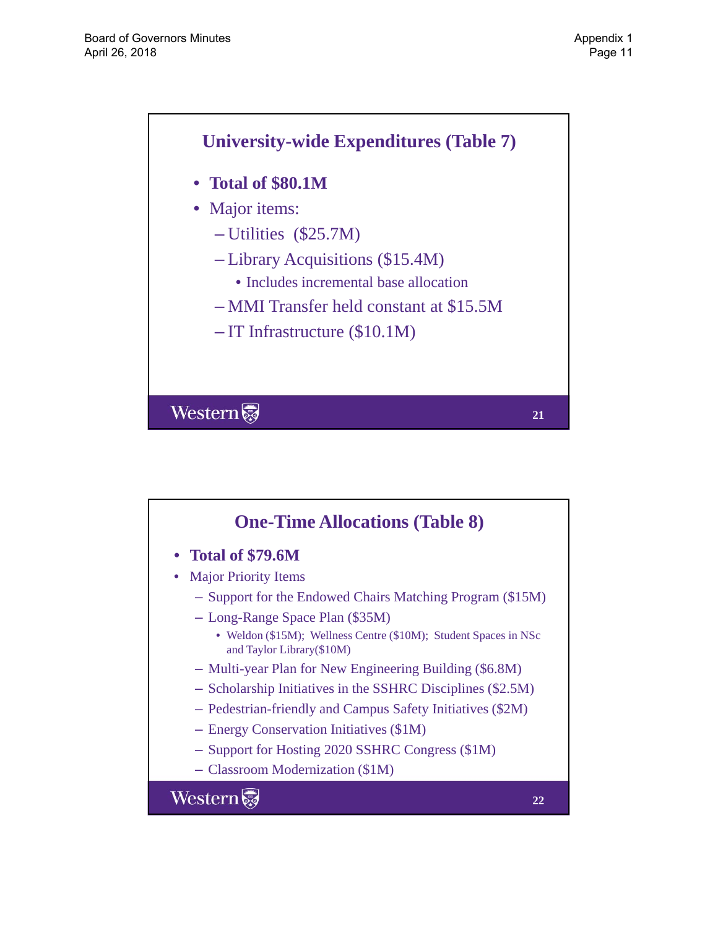

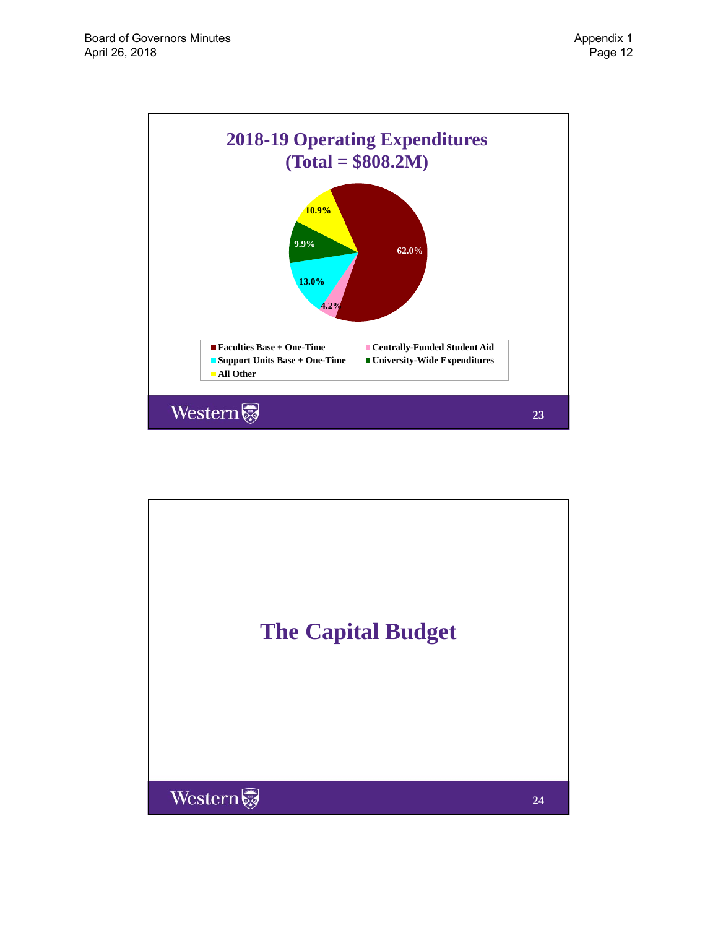

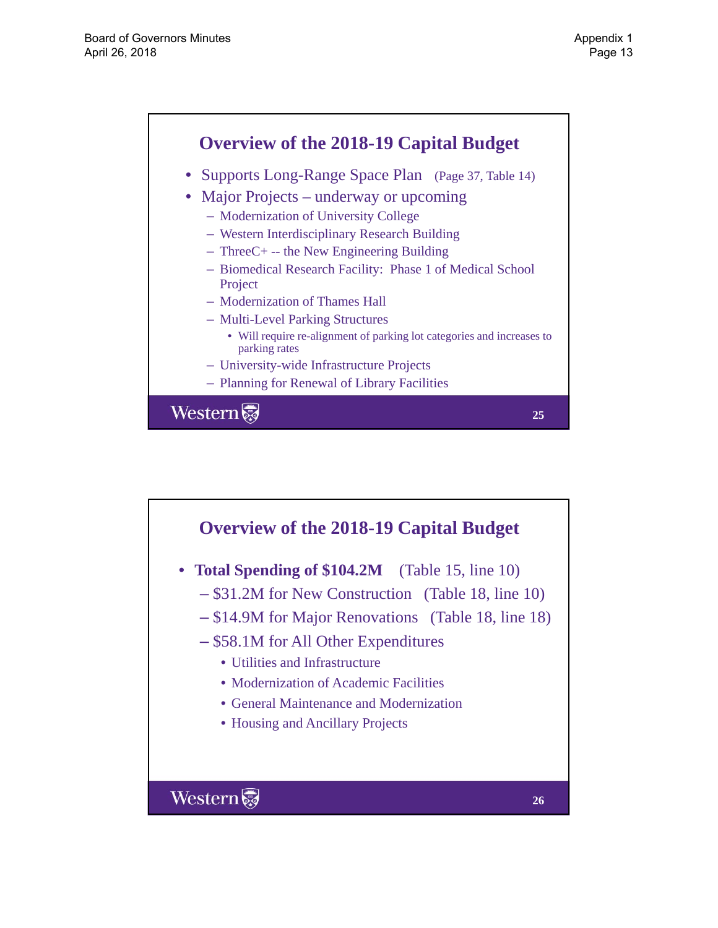